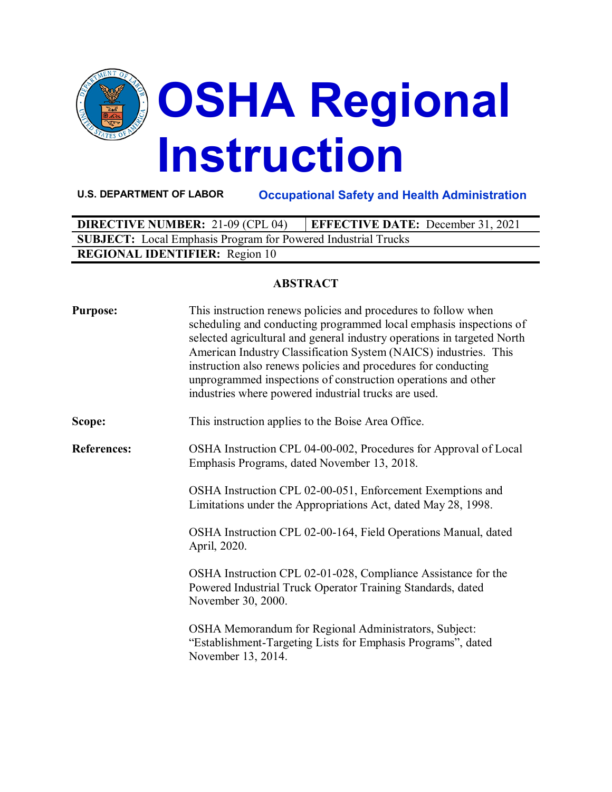

**U.S. DEPARTMENT OF LABOR Occupational Safety and Health Administration**

| <b>DIRECTIVE NUMBER: 21-09 (CPL 04)</b>                              | <b>EFFECTIVE DATE:</b> December 31, 2021 |  |  |  |
|----------------------------------------------------------------------|------------------------------------------|--|--|--|
| <b>SUBJECT:</b> Local Emphasis Program for Powered Industrial Trucks |                                          |  |  |  |
| <b>REGIONAL IDENTIFIER:</b> Region 10                                |                                          |  |  |  |

## **ABSTRACT**

| <b>Purpose:</b>    | This instruction renews policies and procedures to follow when<br>scheduling and conducting programmed local emphasis inspections of<br>selected agricultural and general industry operations in targeted North<br>American Industry Classification System (NAICS) industries. This<br>instruction also renews policies and procedures for conducting<br>unprogrammed inspections of construction operations and other<br>industries where powered industrial trucks are used. |
|--------------------|--------------------------------------------------------------------------------------------------------------------------------------------------------------------------------------------------------------------------------------------------------------------------------------------------------------------------------------------------------------------------------------------------------------------------------------------------------------------------------|
| Scope:             | This instruction applies to the Boise Area Office.                                                                                                                                                                                                                                                                                                                                                                                                                             |
| <b>References:</b> | OSHA Instruction CPL 04-00-002, Procedures for Approval of Local<br>Emphasis Programs, dated November 13, 2018.                                                                                                                                                                                                                                                                                                                                                                |
|                    | OSHA Instruction CPL 02-00-051, Enforcement Exemptions and<br>Limitations under the Appropriations Act, dated May 28, 1998.                                                                                                                                                                                                                                                                                                                                                    |
|                    | OSHA Instruction CPL 02-00-164, Field Operations Manual, dated<br>April, 2020.                                                                                                                                                                                                                                                                                                                                                                                                 |
|                    | OSHA Instruction CPL 02-01-028, Compliance Assistance for the<br>Powered Industrial Truck Operator Training Standards, dated<br>November 30, 2000.                                                                                                                                                                                                                                                                                                                             |
|                    | OSHA Memorandum for Regional Administrators, Subject:<br>"Establishment-Targeting Lists for Emphasis Programs", dated<br>November 13, 2014.                                                                                                                                                                                                                                                                                                                                    |
|                    |                                                                                                                                                                                                                                                                                                                                                                                                                                                                                |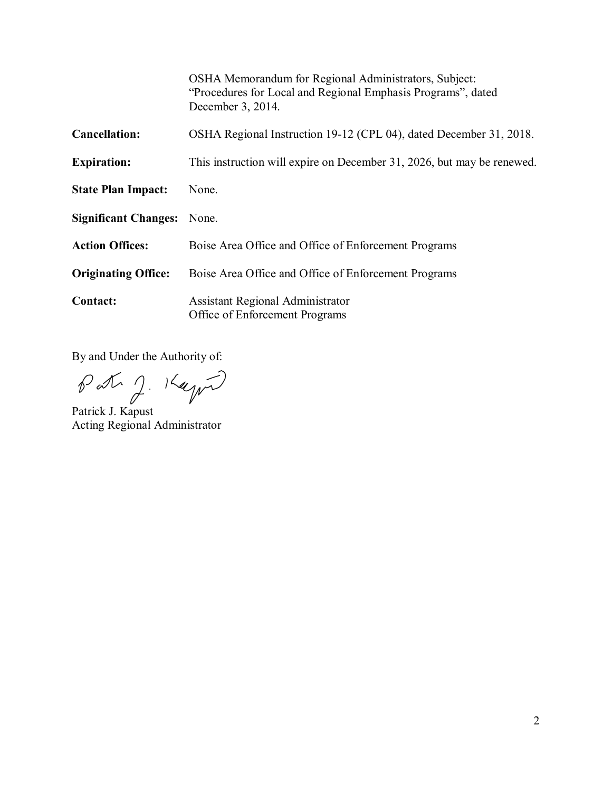|                             | OSHA Memorandum for Regional Administrators, Subject:<br>"Procedures for Local and Regional Emphasis Programs", dated<br>December 3, 2014. |
|-----------------------------|--------------------------------------------------------------------------------------------------------------------------------------------|
| <b>Cancellation:</b>        | OSHA Regional Instruction 19-12 (CPL 04), dated December 31, 2018.                                                                         |
| <b>Expiration:</b>          | This instruction will expire on December 31, 2026, but may be renewed.                                                                     |
| <b>State Plan Impact:</b>   | None.                                                                                                                                      |
| <b>Significant Changes:</b> | None.                                                                                                                                      |
| <b>Action Offices:</b>      | Boise Area Office and Office of Enforcement Programs                                                                                       |
| <b>Originating Office:</b>  | Boise Area Office and Office of Enforcement Programs                                                                                       |
| <b>Contact:</b>             | <b>Assistant Regional Administrator</b><br>Office of Enforcement Programs                                                                  |

By and Under the Authority of:

Patrig J. Kayn

Acting Regional Administrator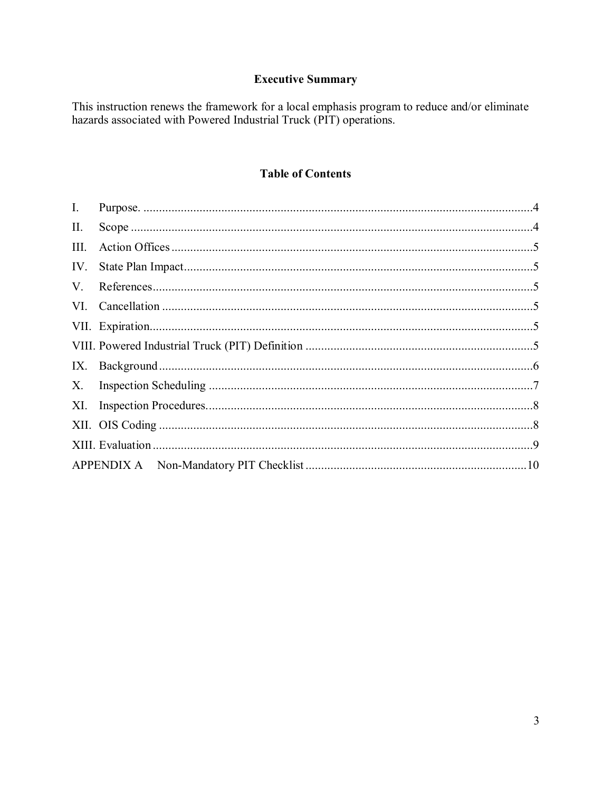# **Executive Summary**

This instruction renews the framework for a local emphasis program to reduce and/or eliminate hazards associated with Powered Industrial Truck (PIT) operations.

### **Table of Contents**

| $\mathbf{I}$ . |  |
|----------------|--|
| П.             |  |
| Ш.             |  |
| IV.            |  |
| V.             |  |
|                |  |
|                |  |
|                |  |
| IX.            |  |
| X.             |  |
|                |  |
|                |  |
|                |  |
|                |  |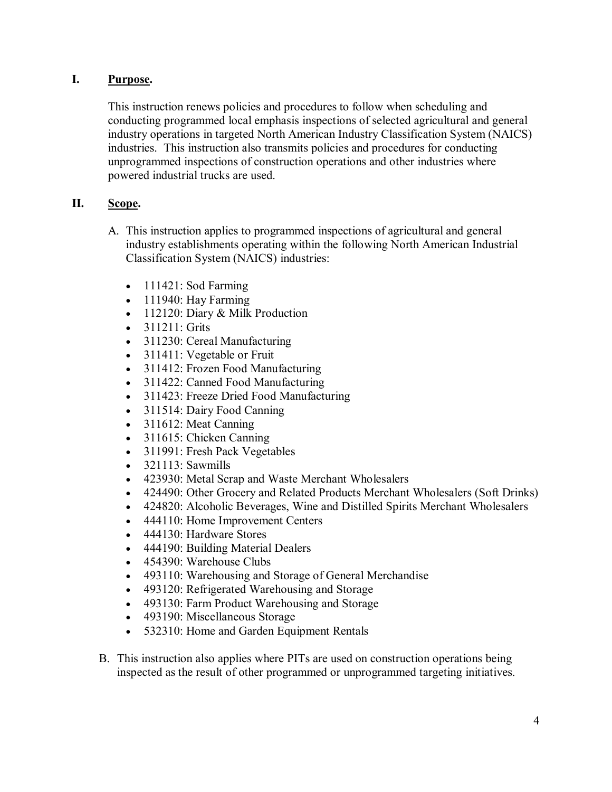### <span id="page-3-0"></span>**I. Purpose.**

This instruction renews policies and procedures to follow when scheduling and conducting programmed local emphasis inspections of selected agricultural and general industry operations in targeted North American Industry Classification System (NAICS) industries. This instruction also transmits policies and procedures for conducting unprogrammed inspections of construction operations and other industries where powered industrial trucks are used.

## <span id="page-3-1"></span>**II. Scope.**

- A. This instruction applies to programmed inspections of agricultural and general industry establishments operating within the following North American Industrial Classification System (NAICS) industries:
	- 111421: Sod Farming
	- 111940: Hay Farming
	- 112120: Diary & Milk Production
	- 311211: Grits
	- 311230: Cereal Manufacturing
	- 311411: Vegetable or Fruit
	- 311412: Frozen Food Manufacturing
	- 311422: Canned Food Manufacturing
	- 311423: Freeze Dried Food Manufacturing
	- 311514: Dairy Food Canning
	- 311612: Meat Canning
	- 311615: Chicken Canning
	- 311991: Fresh Pack Vegetables
	- 321113: Sawmills
	- 423930: Metal Scrap and Waste Merchant Wholesalers
	- 424490: Other Grocery and Related Products Merchant Wholesalers (Soft Drinks)
	- 424820: Alcoholic Beverages, Wine and Distilled Spirits Merchant Wholesalers
	- 444110: Home Improvement Centers
	- 444130: Hardware Stores
	- 444190: Building Material Dealers
	- 454390: Warehouse Clubs
	- 493110: Warehousing and Storage of General Merchandise
	- 493120: Refrigerated Warehousing and Storage
	- 493130: Farm Product Warehousing and Storage
	- 493190: Miscellaneous Storage
	- 532310: Home and Garden Equipment Rentals
- B. This instruction also applies where PITs are used on construction operations being inspected as the result of other programmed or unprogrammed targeting initiatives.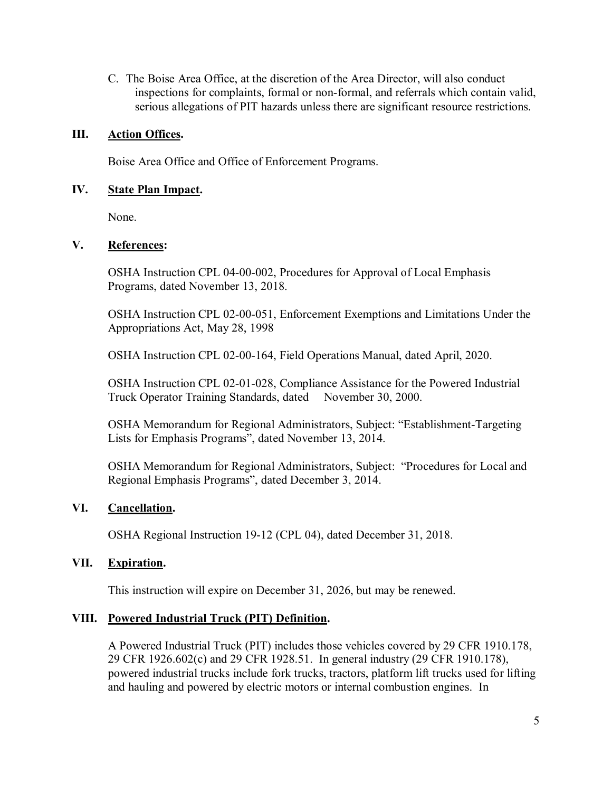C. The Boise Area Office, at the discretion of the Area Director, will also conduct inspections for complaints, formal or non-formal, and referrals which contain valid, serious allegations of PIT hazards unless there are significant resource restrictions.

#### <span id="page-4-0"></span>**III. Action Offices.**

Boise Area Office and Office of Enforcement Programs.

#### <span id="page-4-1"></span>**IV. State Plan Impact.**

None.

#### <span id="page-4-2"></span>**V. References:**

OSHA Instruction CPL 04-00-002, Procedures for Approval of Local Emphasis Programs, dated November 13, 2018.

OSHA Instruction CPL 02-00-051, Enforcement Exemptions and Limitations Under the Appropriations Act, May 28, 1998

OSHA Instruction CPL 02-00-164, Field Operations Manual, dated April, 2020.

OSHA Instruction CPL 02-01-028, Compliance Assistance for the Powered Industrial Truck Operator Training Standards, dated November 30, 2000.

OSHA Memorandum for Regional Administrators, Subject: "Establishment-Targeting Lists for Emphasis Programs", dated November 13, 2014.

OSHA Memorandum for Regional Administrators, Subject: "Procedures for Local and Regional Emphasis Programs", dated December 3, 2014.

### <span id="page-4-3"></span>**VI. Cancellation.**

OSHA Regional Instruction 19-12 (CPL 04), dated December 31, 2018.

#### <span id="page-4-4"></span>**VII. Expiration.**

This instruction will expire on December 31, 2026, but may be renewed.

#### <span id="page-4-5"></span>**VIII. Powered Industrial Truck (PIT) Definition.**

A Powered Industrial Truck (PIT) includes those vehicles covered by 29 CFR 1910.178, 29 CFR 1926.602(c) and 29 CFR 1928.51. In general industry (29 CFR 1910.178), powered industrial trucks include fork trucks, tractors, platform lift trucks used for lifting and hauling and powered by electric motors or internal combustion engines. In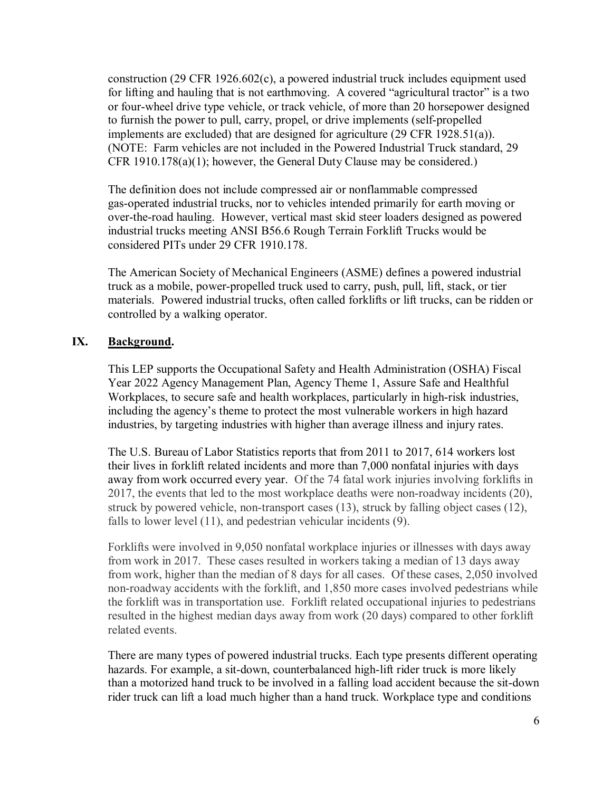construction (29 CFR 1926.602(c), a powered industrial truck includes equipment used for lifting and hauling that is not earthmoving. A covered "agricultural tractor" is a two or four-wheel drive type vehicle, or track vehicle, of more than 20 horsepower designed to furnish the power to pull, carry, propel, or drive implements (self-propelled implements are excluded) that are designed for agriculture (29 CFR 1928.51(a)). (NOTE: Farm vehicles are not included in the Powered Industrial Truck standard, 29 CFR 1910.178(a)(1); however, the General Duty Clause may be considered.)

The definition does not include compressed air or nonflammable compressed gas-operated industrial trucks, nor to vehicles intended primarily for earth moving or over-the-road hauling. However, vertical mast skid steer loaders designed as powered industrial trucks meeting ANSI B56.6 Rough Terrain Forklift Trucks would be considered PITs under 29 CFR 1910.178.

The American Society of Mechanical Engineers (ASME) defines a powered industrial truck as a mobile, power-propelled truck used to carry, push, pull, lift, stack, or tier materials. Powered industrial trucks, often called forklifts or lift trucks, can be ridden or controlled by a walking operator.

#### <span id="page-5-0"></span>**IX. Background.**

This LEP supports the Occupational Safety and Health Administration (OSHA) Fiscal Year 2022 Agency Management Plan, Agency Theme 1, Assure Safe and Healthful Workplaces, to secure safe and health workplaces, particularly in high-risk industries, including the agency's theme to protect the most vulnerable workers in high hazard industries, by targeting industries with higher than average illness and injury rates.

The U.S. Bureau of Labor Statistics reports that from 2011 to 2017, 614 workers lost their lives in forklift related incidents and more than 7,000 nonfatal injuries with days away from work occurred every year. Of the 74 fatal work injuries involving forklifts in 2017, the events that led to the most workplace deaths were non-roadway incidents (20), struck by powered vehicle, non-transport cases (13), struck by falling object cases (12), falls to lower level (11), and pedestrian vehicular incidents (9).

Forklifts were involved in 9,050 nonfatal workplace injuries or illnesses with days away from work in 2017. These cases resulted in workers taking a median of 13 days away from work, higher than the median of 8 days for all cases. Of these cases, 2,050 involved non-roadway accidents with the forklift, and 1,850 more cases involved pedestrians while the forklift was in transportation use. Forklift related occupational injuries to pedestrians resulted in the highest median days away from work (20 days) compared to other forklift related events.

There are many types of powered industrial trucks. Each type presents different operating hazards. For example, a sit-down, counterbalanced high-lift rider truck is more likely than a motorized hand truck to be involved in a falling load accident because the sit-down rider truck can lift a load much higher than a hand truck. Workplace type and conditions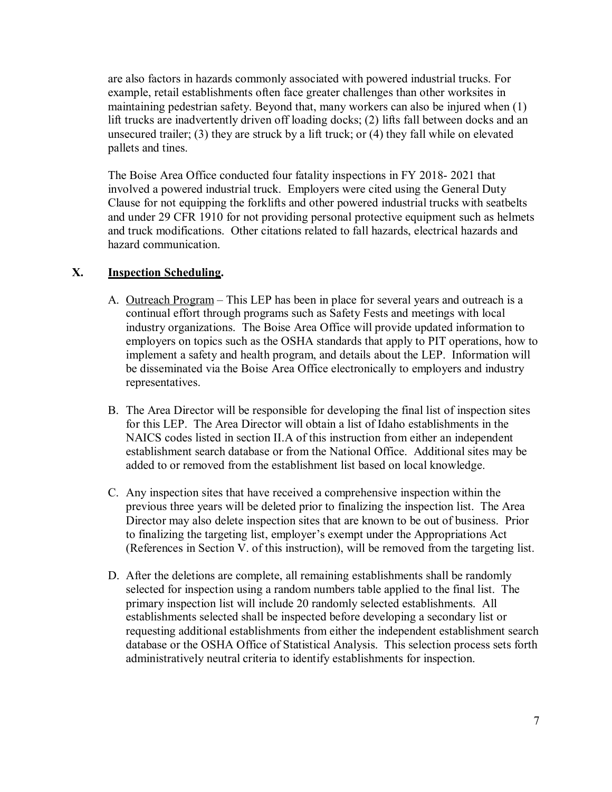are also factors in hazards commonly associated with powered industrial trucks. For example, retail establishments often face greater challenges than other worksites in maintaining pedestrian safety. Beyond that, many workers can also be injured when (1) lift trucks are inadvertently driven off loading docks; (2) lifts fall between docks and an unsecured trailer; (3) they are struck by a lift truck; or (4) they fall while on elevated pallets and tines.

The Boise Area Office conducted four fatality inspections in FY 2018- 2021 that involved a powered industrial truck. Employers were cited using the General Duty Clause for not equipping the forklifts and other powered industrial trucks with seatbelts and under 29 CFR 1910 for not providing personal protective equipment such as helmets and truck modifications. Other citations related to fall hazards, electrical hazards and hazard communication.

## <span id="page-6-0"></span>**X. Inspection Scheduling.**

- A. Outreach Program This LEP has been in place for several years and outreach is a continual effort through programs such as Safety Fests and meetings with local industry organizations. The Boise Area Office will provide updated information to employers on topics such as the OSHA standards that apply to PIT operations, how to implement a safety and health program, and details about the LEP. Information will be disseminated via the Boise Area Office electronically to employers and industry representatives.
- B. The Area Director will be responsible for developing the final list of inspection sites for this LEP. The Area Director will obtain a list of Idaho establishments in the NAICS codes listed in section II.A of this instruction from either an independent establishment search database or from the National Office. Additional sites may be added to or removed from the establishment list based on local knowledge.
- C. Any inspection sites that have received a comprehensive inspection within the previous three years will be deleted prior to finalizing the inspection list. The Area Director may also delete inspection sites that are known to be out of business. Prior to finalizing the targeting list, employer's exempt under the Appropriations Act (References in Section V. of this instruction), will be removed from the targeting list.
- D. After the deletions are complete, all remaining establishments shall be randomly selected for inspection using a random numbers table applied to the final list. The primary inspection list will include 20 randomly selected establishments. All establishments selected shall be inspected before developing a secondary list or requesting additional establishments from either the independent establishment search database or the OSHA Office of Statistical Analysis. This selection process sets forth administratively neutral criteria to identify establishments for inspection.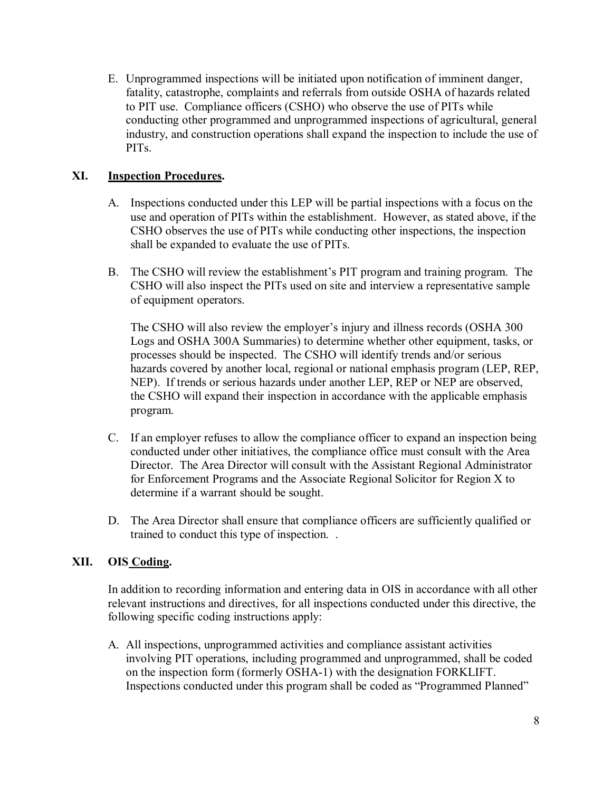E. Unprogrammed inspections will be initiated upon notification of imminent danger, fatality, catastrophe, complaints and referrals from outside OSHA of hazards related to PIT use. Compliance officers (CSHO) who observe the use of PITs while conducting other programmed and unprogrammed inspections of agricultural, general industry, and construction operations shall expand the inspection to include the use of PITs.

## <span id="page-7-0"></span>**XI. Inspection Procedures.**

- A. Inspections conducted under this LEP will be partial inspections with a focus on the use and operation of PITs within the establishment. However, as stated above, if the CSHO observes the use of PITs while conducting other inspections, the inspection shall be expanded to evaluate the use of PITs.
- B. The CSHO will review the establishment's PIT program and training program. The CSHO will also inspect the PITs used on site and interview a representative sample of equipment operators.

The CSHO will also review the employer's injury and illness records (OSHA 300 Logs and OSHA 300A Summaries) to determine whether other equipment, tasks, or processes should be inspected. The CSHO will identify trends and/or serious hazards covered by another local, regional or national emphasis program (LEP, REP, NEP). If trends or serious hazards under another LEP, REP or NEP are observed, the CSHO will expand their inspection in accordance with the applicable emphasis program.

- C. If an employer refuses to allow the compliance officer to expand an inspection being conducted under other initiatives, the compliance office must consult with the Area Director. The Area Director will consult with the Assistant Regional Administrator for Enforcement Programs and the Associate Regional Solicitor for Region X to determine if a warrant should be sought.
- D. The Area Director shall ensure that compliance officers are sufficiently qualified or trained to conduct this type of inspection. .

### <span id="page-7-1"></span>**XII. OIS Coding.**

In addition to recording information and entering data in OIS in accordance with all other relevant instructions and directives, for all inspections conducted under this directive, the following specific coding instructions apply:

A. All inspections, unprogrammed activities and compliance assistant activities involving PIT operations, including programmed and unprogrammed, shall be coded on the inspection form (formerly OSHA-1) with the designation FORKLIFT. Inspections conducted under this program shall be coded as "Programmed Planned"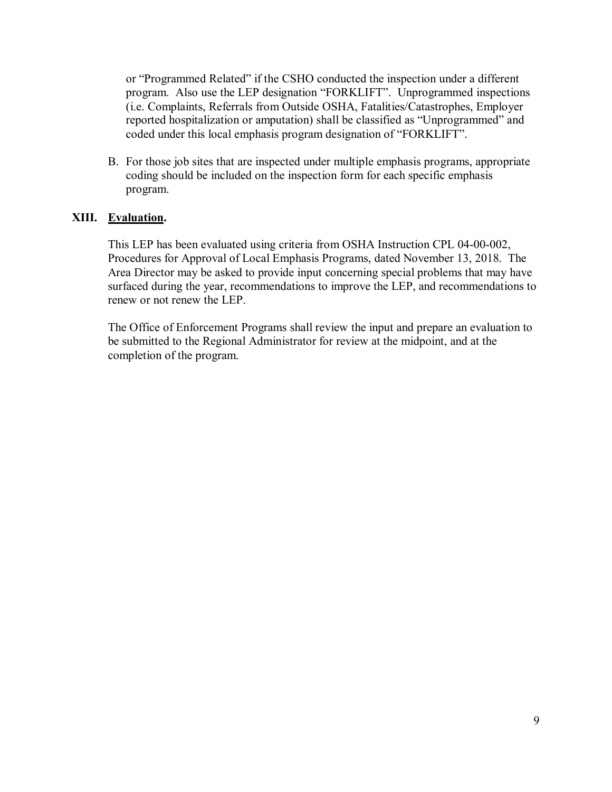or "Programmed Related" if the CSHO conducted the inspection under a different program. Also use the LEP designation "FORKLIFT". Unprogrammed inspections (i.e. Complaints, Referrals from Outside OSHA, Fatalities/Catastrophes, Employer reported hospitalization or amputation) shall be classified as "Unprogrammed" and coded under this local emphasis program designation of "FORKLIFT".

B. For those job sites that are inspected under multiple emphasis programs, appropriate coding should be included on the inspection form for each specific emphasis program.

### <span id="page-8-0"></span>**XIII. Evaluation.**

This LEP has been evaluated using criteria from OSHA Instruction CPL 04-00-002, Procedures for Approval of Local Emphasis Programs, dated November 13, 2018. The Area Director may be asked to provide input concerning special problems that may have surfaced during the year, recommendations to improve the LEP, and recommendations to renew or not renew the LEP.

The Office of Enforcement Programs shall review the input and prepare an evaluation to be submitted to the Regional Administrator for review at the midpoint, and at the completion of the program.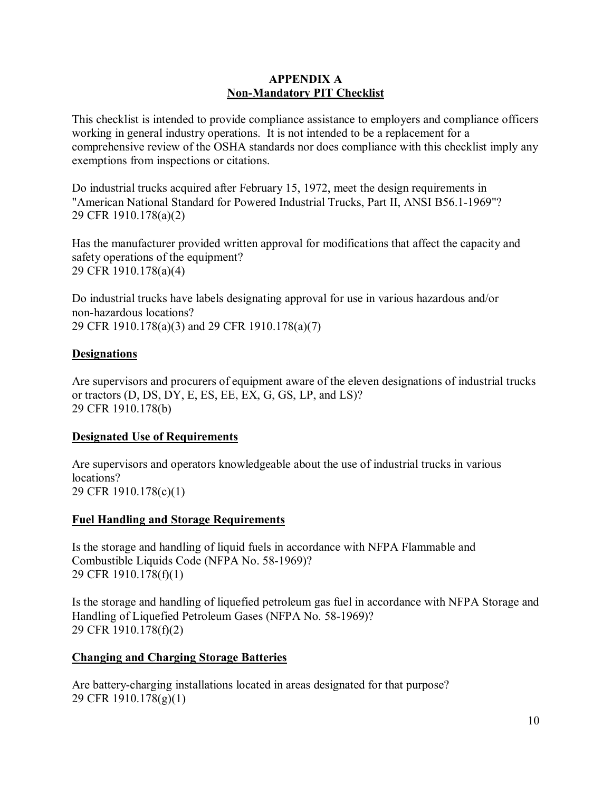#### **APPENDIX A Non-Mandatory PIT Checklist**

<span id="page-9-1"></span><span id="page-9-0"></span>This checklist is intended to provide compliance assistance to employers and compliance officers working in general industry operations. It is not intended to be a replacement for a comprehensive review of the OSHA standards nor does compliance with this checklist imply any exemptions from inspections or citations.

Do industrial trucks acquired after February 15, 1972, meet the design requirements in "American National Standard for Powered Industrial Trucks, Part II, ANSI B56.1-1969"? 29 CFR 1910.178(a)(2)

Has the manufacturer provided written approval for modifications that affect the capacity and safety operations of the equipment? 29 CFR 1910.178(a)(4)

Do industrial trucks have labels designating approval for use in various hazardous and/or non-hazardous locations? 29 CFR 1910.178(a)(3) and 29 CFR 1910.178(a)(7)

### **Designations**

Are supervisors and procurers of equipment aware of the eleven designations of industrial trucks or tractors (D, DS, DY, E, ES, EE, EX, G, GS, LP, and LS)? 29 CFR 1910.178(b)

### **Designated Use of Requirements**

Are supervisors and operators knowledgeable about the use of industrial trucks in various locations? 29 CFR 1910.178(c)(1)

### **Fuel Handling and Storage Requirements**

Is the storage and handling of liquid fuels in accordance with NFPA Flammable and Combustible Liquids Code (NFPA No. 58-1969)? 29 CFR 1910.178(f)(1)

Is the storage and handling of liquefied petroleum gas fuel in accordance with NFPA Storage and Handling of Liquefied Petroleum Gases (NFPA No. 58-1969)? 29 CFR 1910.178(f)(2)

# **Changing and Charging Storage Batteries**

Are battery-charging installations located in areas designated for that purpose? 29 CFR 1910.178(g)(1)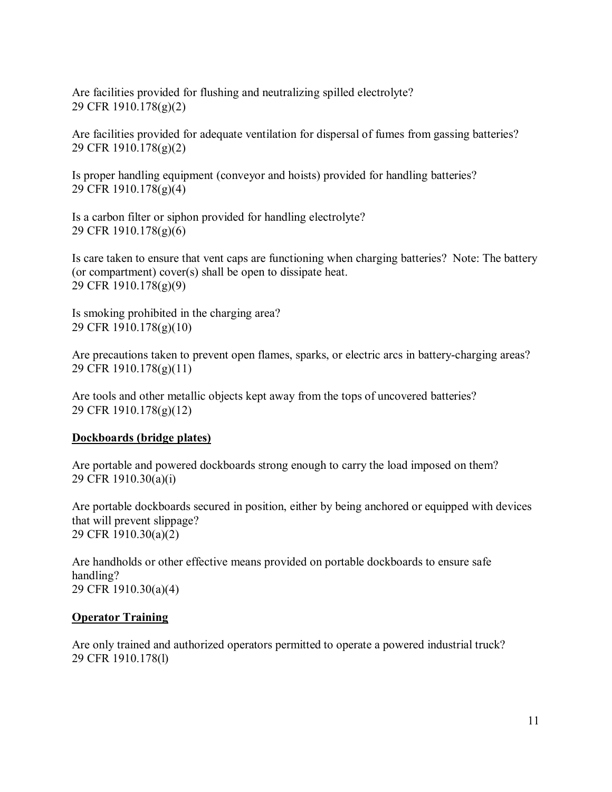Are facilities provided for flushing and neutralizing spilled electrolyte? 29 CFR 1910.178(g)(2)

Are facilities provided for adequate ventilation for dispersal of fumes from gassing batteries? 29 CFR 1910.178(g)(2)

Is proper handling equipment (conveyor and hoists) provided for handling batteries? 29 CFR 1910.178(g)(4)

Is a carbon filter or siphon provided for handling electrolyte? 29 CFR 1910.178(g)(6)

Is care taken to ensure that vent caps are functioning when charging batteries? Note: The battery (or compartment) cover(s) shall be open to dissipate heat. 29 CFR 1910.178(g)(9)

Is smoking prohibited in the charging area? 29 CFR 1910.178(g)(10)

Are precautions taken to prevent open flames, sparks, or electric arcs in battery-charging areas? 29 CFR 1910.178(g)(11)

Are tools and other metallic objects kept away from the tops of uncovered batteries? 29 CFR 1910.178(g)(12)

### **Dockboards (bridge plates)**

Are portable and powered dockboards strong enough to carry the load imposed on them? 29 CFR 1910.30(a)(i)

Are portable dockboards secured in position, either by being anchored or equipped with devices that will prevent slippage? 29 CFR 1910.30(a)(2)

Are handholds or other effective means provided on portable dockboards to ensure safe handling? 29 CFR 1910.30(a)(4)

#### **Operator Training**

Are only trained and authorized operators permitted to operate a powered industrial truck? 29 CFR 1910.178(l)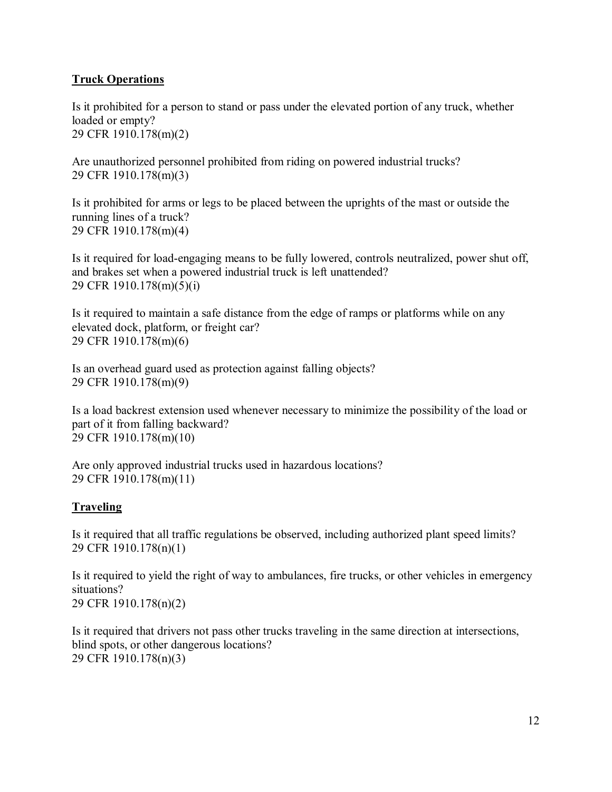## **Truck Operations**

Is it prohibited for a person to stand or pass under the elevated portion of any truck, whether loaded or empty? 29 CFR 1910.178(m)(2)

Are unauthorized personnel prohibited from riding on powered industrial trucks? 29 CFR 1910.178(m)(3)

Is it prohibited for arms or legs to be placed between the uprights of the mast or outside the running lines of a truck? 29 CFR 1910.178(m)(4)

Is it required for load-engaging means to be fully lowered, controls neutralized, power shut off, and brakes set when a powered industrial truck is left unattended? 29 CFR 1910.178(m)(5)(i)

Is it required to maintain a safe distance from the edge of ramps or platforms while on any elevated dock, platform, or freight car? 29 CFR 1910.178(m)(6)

Is an overhead guard used as protection against falling objects? 29 CFR 1910.178(m)(9)

Is a load backrest extension used whenever necessary to minimize the possibility of the load or part of it from falling backward? 29 CFR 1910.178(m)(10)

Are only approved industrial trucks used in hazardous locations? 29 CFR 1910.178(m)(11)

### **Traveling**

Is it required that all traffic regulations be observed, including authorized plant speed limits? 29 CFR 1910.178(n)(1)

Is it required to yield the right of way to ambulances, fire trucks, or other vehicles in emergency situations? 29 CFR 1910.178(n)(2)

Is it required that drivers not pass other trucks traveling in the same direction at intersections, blind spots, or other dangerous locations? 29 CFR 1910.178(n)(3)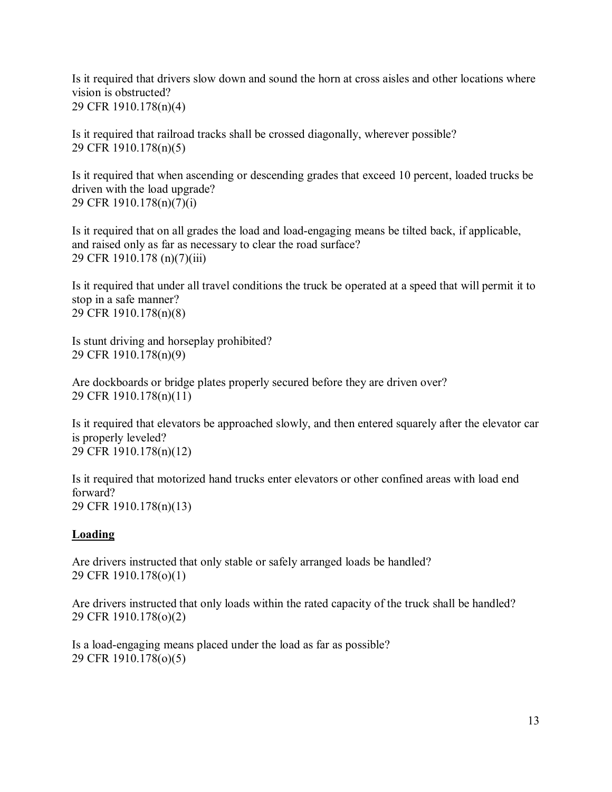Is it required that drivers slow down and sound the horn at cross aisles and other locations where vision is obstructed? 29 CFR 1910.178(n)(4)

Is it required that railroad tracks shall be crossed diagonally, wherever possible? 29 CFR 1910.178(n)(5)

Is it required that when ascending or descending grades that exceed 10 percent, loaded trucks be driven with the load upgrade? 29 CFR 1910.178(n)(7)(i)

Is it required that on all grades the load and load-engaging means be tilted back, if applicable, and raised only as far as necessary to clear the road surface? 29 CFR 1910.178 (n)(7)(iii)

Is it required that under all travel conditions the truck be operated at a speed that will permit it to stop in a safe manner? 29 CFR 1910.178(n)(8)

Is stunt driving and horseplay prohibited? 29 CFR 1910.178(n)(9)

Are dockboards or bridge plates properly secured before they are driven over? 29 CFR 1910.178(n)(11)

Is it required that elevators be approached slowly, and then entered squarely after the elevator car is properly leveled? 29 CFR 1910.178(n)(12)

Is it required that motorized hand trucks enter elevators or other confined areas with load end forward? 29 CFR 1910.178(n)(13)

### **Loading**

Are drivers instructed that only stable or safely arranged loads be handled? 29 CFR 1910.178(o)(1)

Are drivers instructed that only loads within the rated capacity of the truck shall be handled? 29 CFR 1910.178(o)(2)

Is a load-engaging means placed under the load as far as possible? 29 CFR 1910.178(o)(5)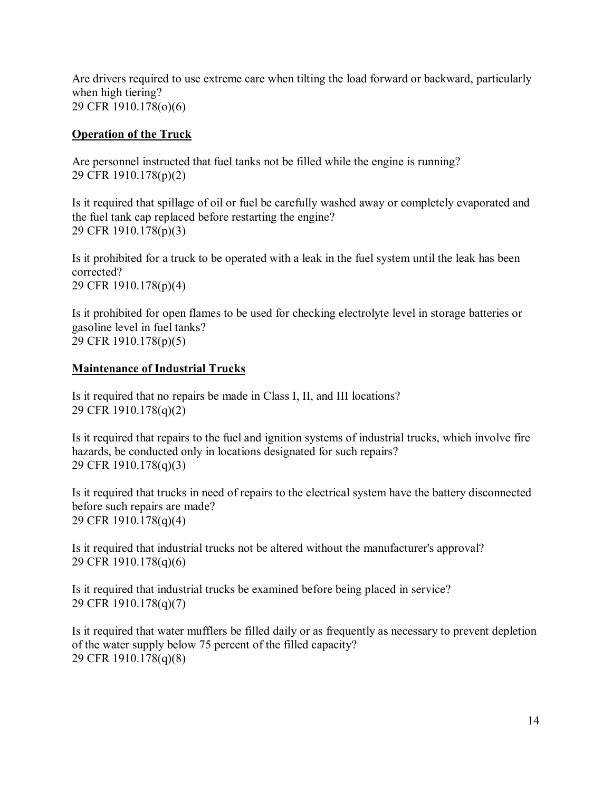Are drivers required to use extreme care when tilting the load forward or backward, particularly when high tiering? 29 CFR 1910.178(o)(6)

#### **Operation of the Truck**

Are personnel instructed that fuel tanks not be filled while the engine is running? 29 CFR 1910.178(p)(2)

Is it required that spillage of oil or fuel be carefully washed away or completely evaporated and the fuel tank cap replaced before restarting the engine? 29 CFR 1910.178(p)(3)

Is it prohibited for a truck to be operated with a leak in the fuel system until the leak has been corrected? 29 CFR 1910.178(p)(4)

Is it prohibited for open flames to be used for checking electrolyte level in storage batteries or gasoline level in fuel tanks? 29 CFR 1910.178(p)(5)

#### **Maintenance of Industrial Trucks**

Is it required that no repairs be made in Class I, II, and III locations? 29 CFR 1910.178(q)(2)

Is it required that repairs to the fuel and ignition systems of industrial trucks, which involve fire hazards, be conducted only in locations designated for such repairs? 29 CFR 1910.178(q)(3)

Is it required that trucks in need of repairs to the electrical system have the battery disconnected before such repairs are made? 29 CFR 1910.178(q)(4)

Is it required that industrial trucks not be altered without the manufacturer's approval? 29 CFR 1910.178(q)(6)

Is it required that industrial trucks be examined before being placed in service? 29 CFR 1910.178(q)(7)

Is it required that water mufflers be filled daily or as frequently as necessary to prevent depletion of the water supply below 75 percent of the filled capacity? 29 CFR 1910.178(q)(8)